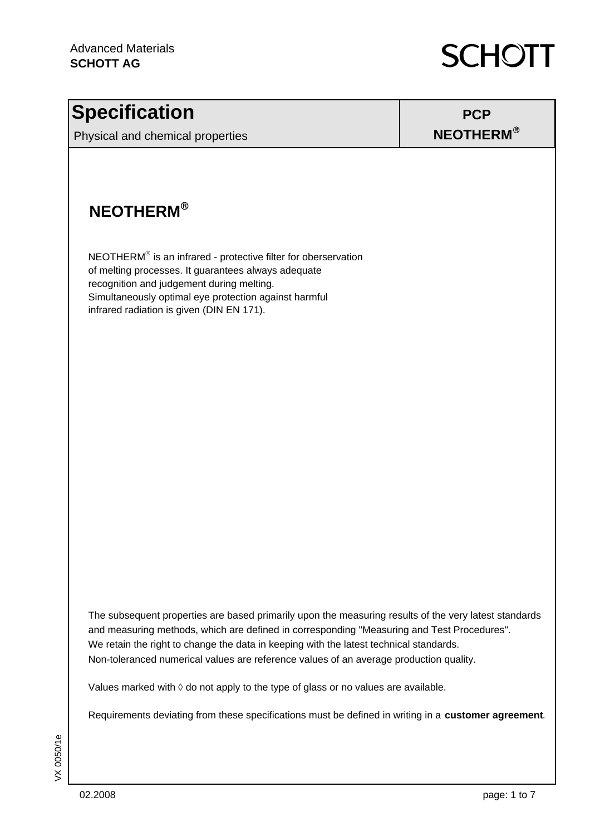

### **Specification**

Physical and chemical properties

#### **PCP NEOTHERM**®

#### **NEOTHERM**®

NEOTHERM® is an infrared - protective filter for oberservation of melting processes. It guarantees always adequate recognition and judgement during melting. Simultaneously optimal eye protection against harmful infrared radiation is given (DIN EN 171).

The subsequent properties are based primarily upon the measuring results of the very latest standards and measuring methods, which are defined in corresponding "Measuring and Test Procedures". We retain the right to change the data in keeping with the latest technical standards. Non-toleranced numerical values are reference values of an average production quality.

Values marked with  $\Diamond$  do not apply to the type of glass or no values are available.

Requirements deviating from these specifications must be defined in writing in a **customer agreement**.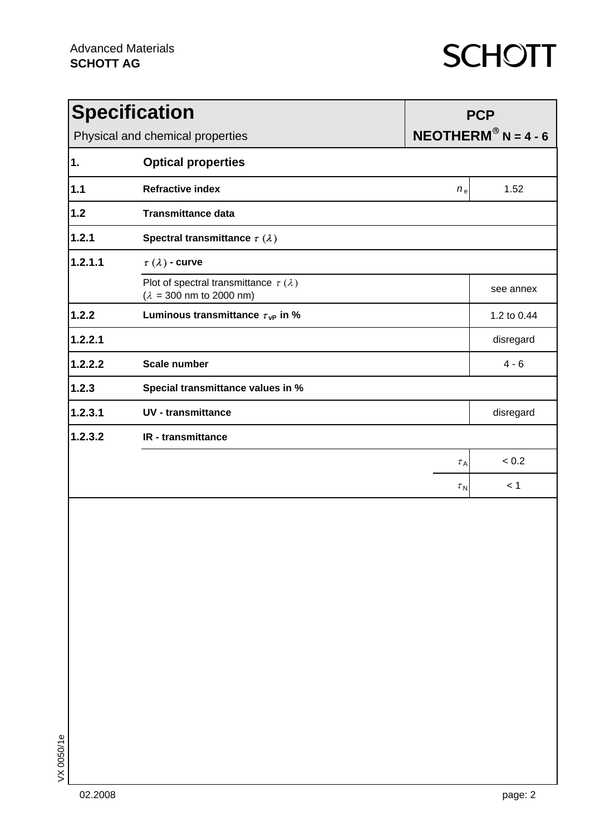| <b>Specification</b>             |                                                                                                            | <b>PCP</b>                       |             |  |
|----------------------------------|------------------------------------------------------------------------------------------------------------|----------------------------------|-------------|--|
| Physical and chemical properties |                                                                                                            | $NEOTHERM^{\circledR}$ N = 4 - 6 |             |  |
| $\mathbf 1$ .                    | <b>Optical properties</b>                                                                                  |                                  |             |  |
| 1.1                              | <b>Refractive index</b>                                                                                    | $n_{e}$                          | 1.52        |  |
| $1.2$                            | <b>Transmittance data</b>                                                                                  |                                  |             |  |
| 1.2.1                            | Spectral transmittance $\tau(\lambda)$                                                                     |                                  |             |  |
| 1.2.1.1                          |                                                                                                            |                                  |             |  |
|                                  | Plot of spectral transmittance $\tau(\lambda)$<br>$(\lambda = 300 \text{ nm} \text{ to } 2000 \text{ nm})$ |                                  | see annex   |  |
| 1.2.2                            | Luminous transmittance $\tau_{\rm VP}$ in %                                                                |                                  | 1.2 to 0.44 |  |
| 1.2.2.1                          |                                                                                                            |                                  | disregard   |  |
| 1.2.2.2                          | <b>Scale number</b>                                                                                        |                                  | $4 - 6$     |  |
| 1.2.3                            | Special transmittance values in %                                                                          |                                  |             |  |
| 1.2.3.1                          | <b>UV</b> - transmittance                                                                                  |                                  | disregard   |  |
| 1.2.3.2                          | <b>IR</b> - transmittance                                                                                  |                                  |             |  |
|                                  |                                                                                                            | $\tau_A$                         | < 0.2       |  |
|                                  |                                                                                                            | $\tau_{N}$                       | < 1         |  |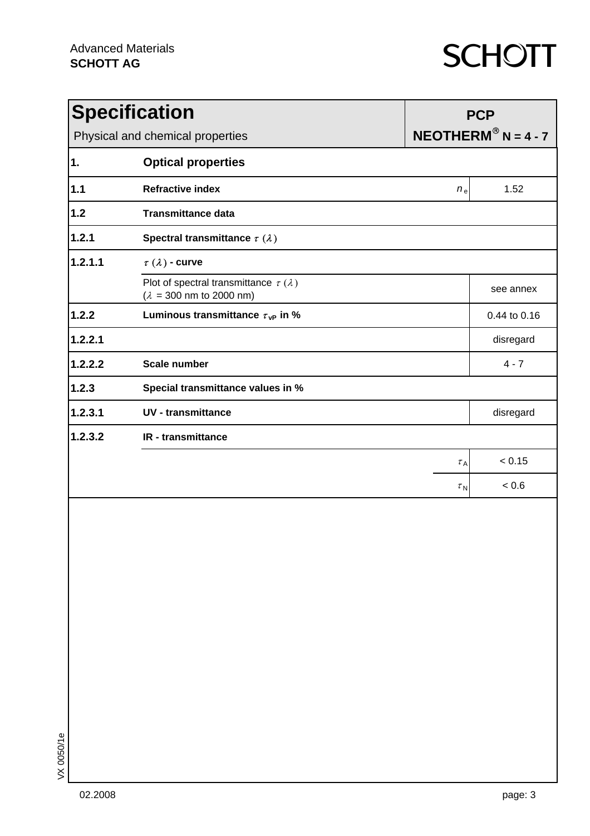| <b>Specification</b>             |                                                                                                            | <b>PCP</b>                       |              |  |
|----------------------------------|------------------------------------------------------------------------------------------------------------|----------------------------------|--------------|--|
| Physical and chemical properties |                                                                                                            | $NEOTHERM^{\circledR}$ N = 4 - 7 |              |  |
| $\mathbf 1$ .                    | <b>Optical properties</b>                                                                                  |                                  |              |  |
| 1.1                              | <b>Refractive index</b>                                                                                    | $n_{e}$                          | 1.52         |  |
| $1.2$                            | <b>Transmittance data</b>                                                                                  |                                  |              |  |
| 1.2.1                            | Spectral transmittance $\tau(\lambda)$                                                                     |                                  |              |  |
| 1.2.1.1                          |                                                                                                            |                                  |              |  |
|                                  | Plot of spectral transmittance $\tau(\lambda)$<br>$(\lambda = 300 \text{ nm} \text{ to } 2000 \text{ nm})$ |                                  | see annex    |  |
| 1.2.2                            | Luminous transmittance $\tau_{\rm VP}$ in %                                                                |                                  | 0.44 to 0.16 |  |
| 1.2.2.1                          |                                                                                                            |                                  | disregard    |  |
| 1.2.2.2                          | <b>Scale number</b>                                                                                        |                                  | $4 - 7$      |  |
| 1.2.3                            | Special transmittance values in %                                                                          |                                  |              |  |
| 1.2.3.1                          | <b>UV</b> - transmittance                                                                                  |                                  | disregard    |  |
| 1.2.3.2                          | <b>IR</b> - transmittance                                                                                  |                                  |              |  |
|                                  |                                                                                                            | $\tau_A$                         | < 0.15       |  |
|                                  |                                                                                                            | $\tau_{N}$                       | < 0.6        |  |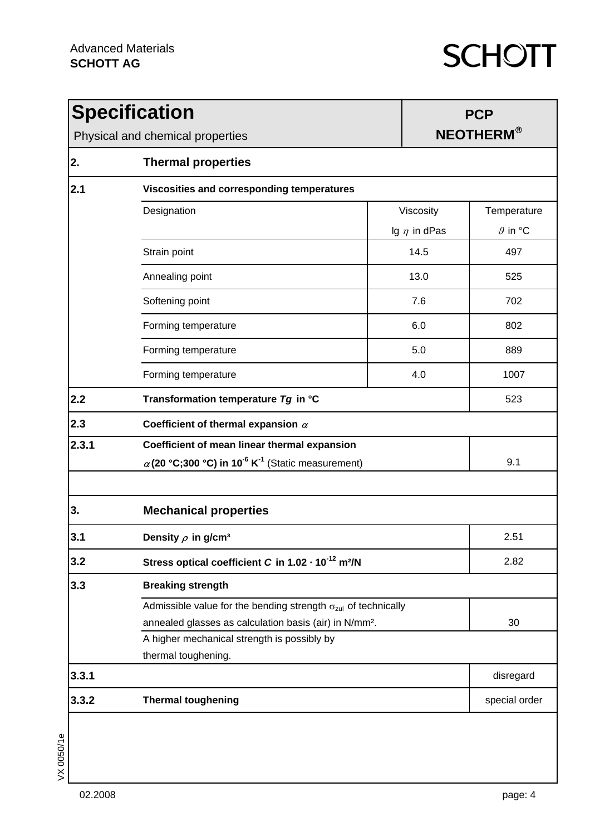| <b>Specification</b><br>Physical and chemical properties |                                                                                  |     | <b>PCP</b><br><b>NEOTHERM®</b> |                     |  |  |
|----------------------------------------------------------|----------------------------------------------------------------------------------|-----|--------------------------------|---------------------|--|--|
| 2.                                                       | <b>Thermal properties</b>                                                        |     |                                |                     |  |  |
| 2.1                                                      | Viscosities and corresponding temperatures                                       |     |                                |                     |  |  |
|                                                          | Designation                                                                      |     | Viscosity                      | Temperature         |  |  |
|                                                          |                                                                                  |     | Ig $\eta$ in dPas              | $9$ in $^{\circ}$ C |  |  |
|                                                          | Strain point                                                                     |     | 14.5                           | 497                 |  |  |
|                                                          | Annealing point                                                                  |     | 13.0                           | 525                 |  |  |
|                                                          | Softening point                                                                  |     | 7.6                            | 702                 |  |  |
|                                                          | Forming temperature                                                              |     | 6.0                            | 802                 |  |  |
|                                                          | Forming temperature                                                              |     | 5.0                            | 889                 |  |  |
|                                                          | Forming temperature                                                              |     | 4.0                            | 1007                |  |  |
| 2.2                                                      | Transformation temperature Tg in °C                                              |     |                                | 523                 |  |  |
| 2.3                                                      | Coefficient of thermal expansion $\alpha$                                        |     |                                |                     |  |  |
| 2.3.1                                                    | Coefficient of mean linear thermal expansion                                     |     |                                |                     |  |  |
|                                                          | $\alpha$ (20 °C;300 °C) in 10 <sup>-6</sup> K <sup>-1</sup> (Static measurement) | 9.1 |                                |                     |  |  |
| 3.                                                       | <b>Mechanical properties</b>                                                     |     |                                |                     |  |  |
| 3.1                                                      | 2.51<br>Density $\rho$ in g/cm <sup>3</sup>                                      |     |                                |                     |  |  |
| 3.2                                                      | Stress optical coefficient C in 1.02 - 10 <sup>-12</sup> m <sup>2</sup> /N       |     |                                | 2.82                |  |  |
| 3.3                                                      | <b>Breaking strength</b>                                                         |     |                                |                     |  |  |
|                                                          | Admissible value for the bending strength $\sigma_{\text{zul}}$ of technically   |     |                                |                     |  |  |
|                                                          | annealed glasses as calculation basis (air) in N/mm <sup>2</sup> .               |     |                                | 30                  |  |  |
|                                                          | A higher mechanical strength is possibly by                                      |     |                                |                     |  |  |
|                                                          | thermal toughening.                                                              |     |                                |                     |  |  |
| 3.3.1                                                    |                                                                                  |     |                                | disregard           |  |  |
| 3.3.2                                                    | <b>Thermal toughening</b>                                                        |     |                                | special order       |  |  |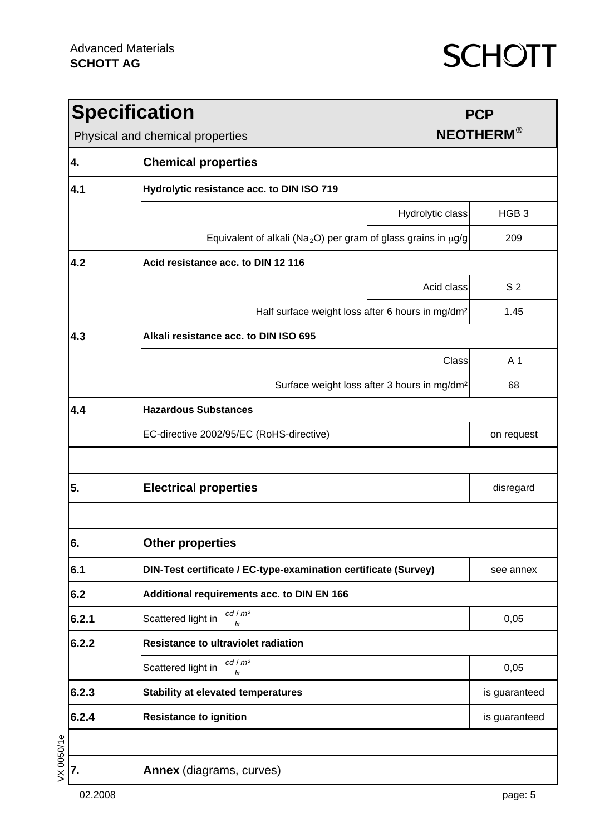|         | <b>Specification</b><br>Physical and chemical properties                       |                  | <b>PCP</b><br><b>NEOTHERM®</b> |  |  |
|---------|--------------------------------------------------------------------------------|------------------|--------------------------------|--|--|
| 4.      | <b>Chemical properties</b>                                                     |                  |                                |  |  |
| 4.1     | Hydrolytic resistance acc. to DIN ISO 719                                      |                  |                                |  |  |
|         |                                                                                | Hydrolytic class | HGB <sub>3</sub>               |  |  |
|         | Equivalent of alkali (Na <sub>2</sub> O) per gram of glass grains in $\mu$ g/g |                  | 209                            |  |  |
| 4.2     | Acid resistance acc. to DIN 12 116                                             |                  |                                |  |  |
|         |                                                                                | Acid class       | S <sub>2</sub>                 |  |  |
|         | Half surface weight loss after 6 hours in mg/dm <sup>2</sup>                   |                  | 1.45                           |  |  |
| 4.3     | Alkali resistance acc. to DIN ISO 695                                          |                  |                                |  |  |
|         |                                                                                | Class            | A 1                            |  |  |
|         | Surface weight loss after 3 hours in mg/dm <sup>2</sup>                        |                  | 68                             |  |  |
| 4.4     | <b>Hazardous Substances</b>                                                    |                  |                                |  |  |
|         | EC-directive 2002/95/EC (RoHS-directive)                                       |                  | on request                     |  |  |
|         |                                                                                |                  |                                |  |  |
| 5.      | <b>Electrical properties</b>                                                   |                  | disregard                      |  |  |
| c<br>ο. | <b>Other properties</b>                                                        |                  |                                |  |  |
| 6.1     | DIN-Test certificate / EC-type-examination certificate (Survey)                |                  | see annex                      |  |  |
| 6.2     | Additional requirements acc. to DIN EN 166                                     |                  |                                |  |  |
| 6.2.1   | $\frac{cd/m^2}{k}$<br>Scattered light in                                       |                  | 0,05                           |  |  |
| 6.2.2   | <b>Resistance to ultraviolet radiation</b>                                     |                  |                                |  |  |
|         | Scattered light in $\frac{cd/m^2}{4m}$                                         |                  | 0,05                           |  |  |
| 6.2.3   | <b>Stability at elevated temperatures</b>                                      |                  | is guaranteed                  |  |  |
| 6.2.4   | <b>Resistance to ignition</b>                                                  |                  | is guaranteed                  |  |  |
|         |                                                                                |                  |                                |  |  |
| 7.      | Annex (diagrams, curves)                                                       |                  |                                |  |  |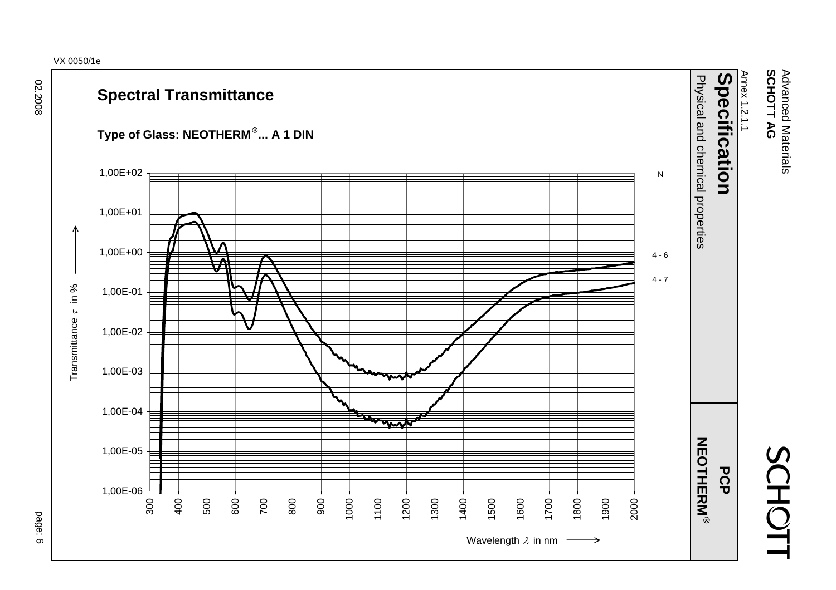#### VX 0050/1e



#### **Spectral Transmittance**





 Advanced Materials SCHOTT AG Advanced Materials **SCHOTT AG**

SCHOT1

Annex 1.2.1.1

Annex 1.2.1.1

p a ge: 6